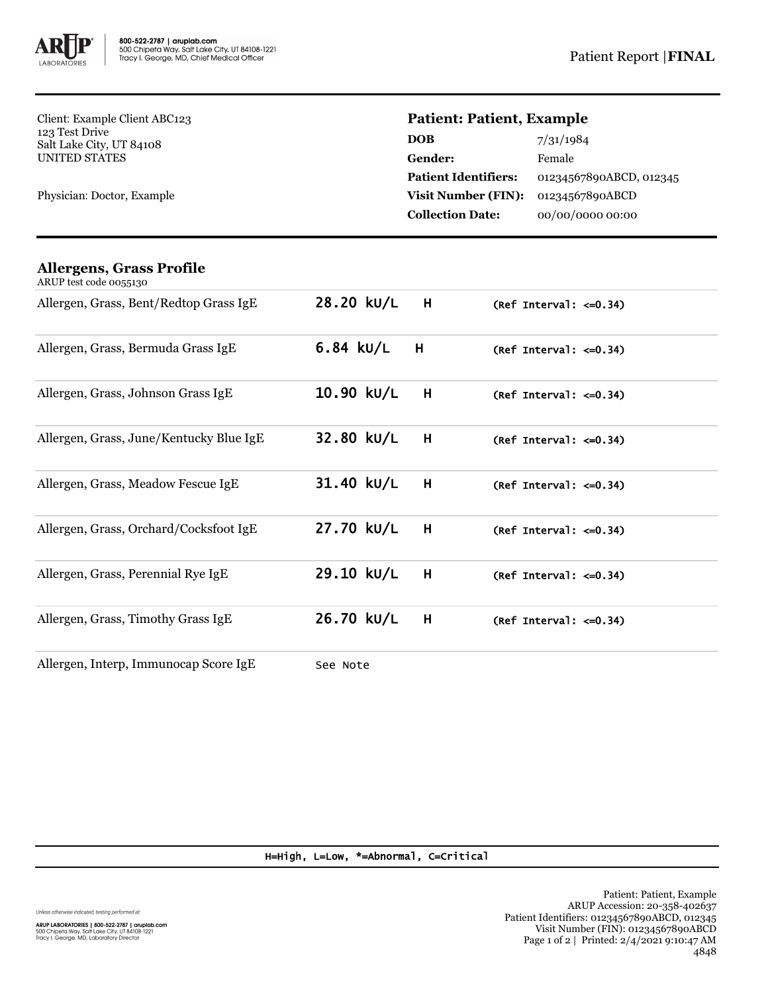

Client: Example Client ABC123 123 Test Drive Salt Lake City, UT 84108 UNITED STATES

Physician: Doctor, Example

## **Patient: Patient, Example**

| <b>DOB</b>                  | 7/31/1984               |
|-----------------------------|-------------------------|
| Gender:                     | Female                  |
| <b>Patient Identifiers:</b> | 01234567890ABCD, 012345 |
| <b>Visit Number (FIN):</b>  | 01234567890ABCD         |
| <b>Collection Date:</b>     | 00/00/0000 00:00        |
|                             |                         |

| Allergens, Grass Profile<br>ARUP test code 0055130 |                  |                              |
|----------------------------------------------------|------------------|------------------------------|
| Allergen, Grass, Bent/Redtop Grass IgE             | 28.20 kU/L<br>H  | $(Ref Interval: < = 0.34)$   |
| Allergen, Grass, Bermuda Grass IgE                 | $6.84$ kU/L<br>H | (Ref Interval: $\leq 0.34$ ) |
| Allergen, Grass, Johnson Grass IgE                 | 10.90 kU/L<br>H  | (Ref Interval: $\leq 0.34$ ) |
| Allergen, Grass, June/Kentucky Blue IgE            | 32.80 kU/L<br>H  | (Ref Interval: $\leq 0.34$ ) |
| Allergen, Grass, Meadow Fescue IgE                 | 31.40 kU/L<br>H  | (Ref Interval: $\leq 0.34$ ) |
| Allergen, Grass, Orchard/Cocksfoot IgE             | 27.70 kU/L<br>H  | $(Ref Interval: < = 0.34)$   |
| Allergen, Grass, Perennial Rye IgE                 | 29.10 kU/L<br>H  | (Ref Interval: $\leq 0.34$ ) |
| Allergen, Grass, Timothy Grass IgE                 | 26.70 kU/L<br>H  | (Ref Interval: $\leq 0.34$ ) |
| Allergen, Interp, Immunocap Score IgE              | See Note         |                              |

H=High, L=Low, \*=Abnormal, C=Critical

Unless otherwise indicated, testing performed at: